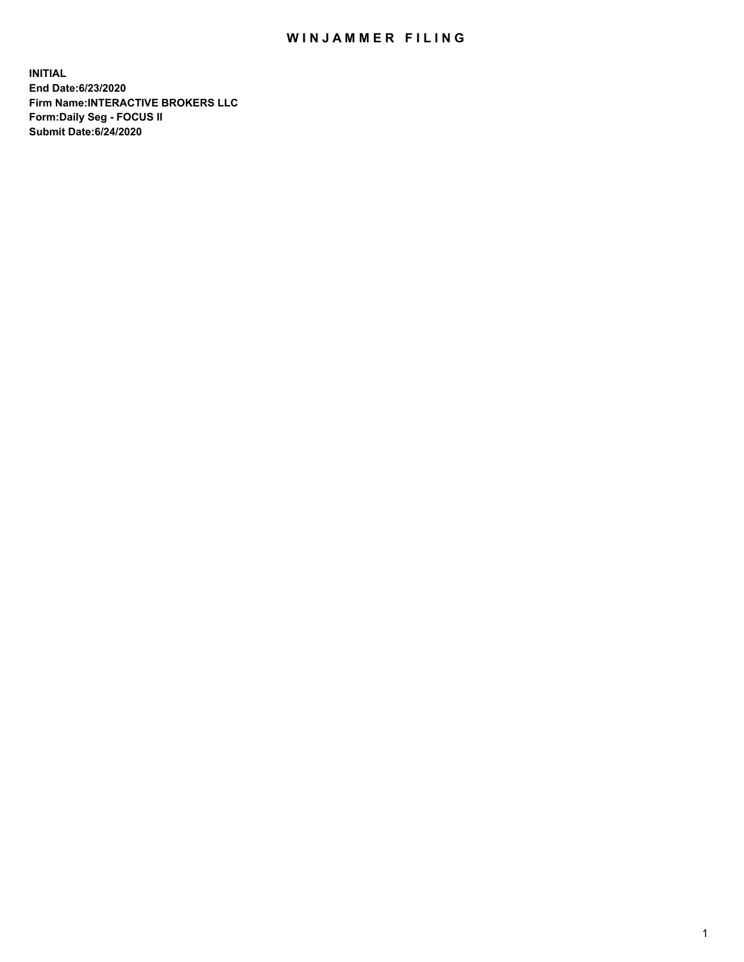## WIN JAMMER FILING

**INITIAL End Date:6/23/2020 Firm Name:INTERACTIVE BROKERS LLC Form:Daily Seg - FOCUS II Submit Date:6/24/2020**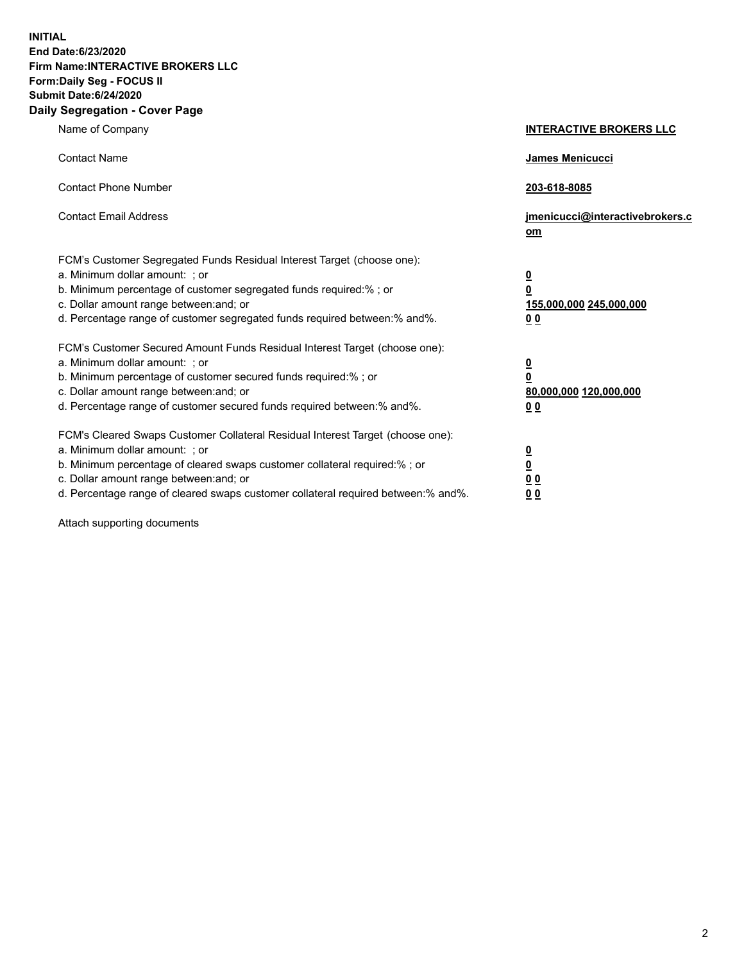**INITIAL End Date:6/23/2020 Firm Name:INTERACTIVE BROKERS LLC Form:Daily Seg - FOCUS II Submit Date:6/24/2020 Daily Segregation - Cover Page**

| Name of Company                                                                                                                                                                                                                                                                                                                | <b>INTERACTIVE BROKERS LLC</b>                                                   |
|--------------------------------------------------------------------------------------------------------------------------------------------------------------------------------------------------------------------------------------------------------------------------------------------------------------------------------|----------------------------------------------------------------------------------|
| <b>Contact Name</b>                                                                                                                                                                                                                                                                                                            | James Menicucci                                                                  |
| <b>Contact Phone Number</b>                                                                                                                                                                                                                                                                                                    | 203-618-8085                                                                     |
| <b>Contact Email Address</b>                                                                                                                                                                                                                                                                                                   | jmenicucci@interactivebrokers.c<br>om                                            |
| FCM's Customer Segregated Funds Residual Interest Target (choose one):<br>a. Minimum dollar amount: ; or<br>b. Minimum percentage of customer segregated funds required:% ; or<br>c. Dollar amount range between: and; or<br>d. Percentage range of customer segregated funds required between:% and%.                         | <u>0</u><br>$\overline{\mathbf{0}}$<br>155,000,000 245,000,000<br>0 <sub>0</sub> |
| FCM's Customer Secured Amount Funds Residual Interest Target (choose one):<br>a. Minimum dollar amount: ; or<br>b. Minimum percentage of customer secured funds required:% ; or<br>c. Dollar amount range between: and; or<br>d. Percentage range of customer secured funds required between:% and%.                           | <u>0</u><br>$\overline{\mathbf{0}}$<br>80,000,000 120,000,000<br>0 <sub>0</sub>  |
| FCM's Cleared Swaps Customer Collateral Residual Interest Target (choose one):<br>a. Minimum dollar amount: ; or<br>b. Minimum percentage of cleared swaps customer collateral required:% ; or<br>c. Dollar amount range between: and; or<br>d. Percentage range of cleared swaps customer collateral required between:% and%. | <u>0</u><br>$\underline{\mathbf{0}}$<br>0 <sub>0</sub><br>0 <sub>0</sub>         |

Attach supporting documents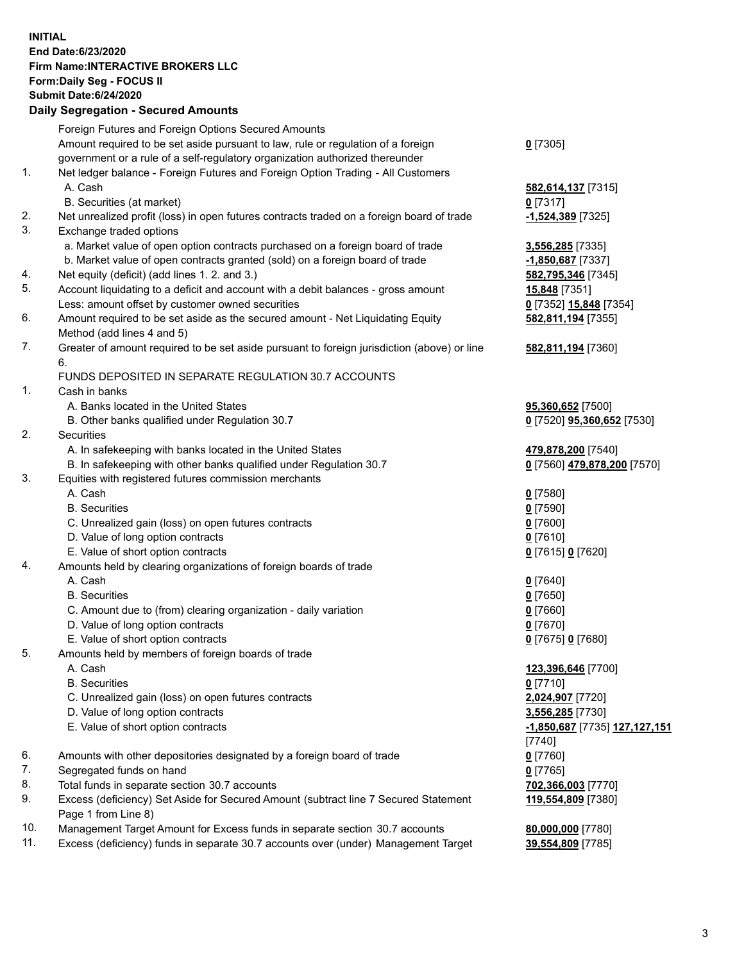**INITIAL End Date:6/23/2020 Firm Name:INTERACTIVE BROKERS LLC Form:Daily Seg - FOCUS II Submit Date:6/24/2020 Daily Segregation - Secured Amounts**

|     | Daily Segregation - Secured Amounts                                                                  |                                      |
|-----|------------------------------------------------------------------------------------------------------|--------------------------------------|
|     | Foreign Futures and Foreign Options Secured Amounts                                                  |                                      |
|     | Amount required to be set aside pursuant to law, rule or regulation of a foreign                     | $0$ [7305]                           |
|     | government or a rule of a self-regulatory organization authorized thereunder                         |                                      |
| 1.  | Net ledger balance - Foreign Futures and Foreign Option Trading - All Customers                      |                                      |
|     | A. Cash                                                                                              | 582,614,137 [7315]                   |
|     | B. Securities (at market)                                                                            | $0$ [7317]                           |
| 2.  | Net unrealized profit (loss) in open futures contracts traded on a foreign board of trade            | -1,524,389 [7325]                    |
| 3.  | Exchange traded options                                                                              |                                      |
|     | a. Market value of open option contracts purchased on a foreign board of trade                       | 3,556,285 [7335]                     |
|     | b. Market value of open contracts granted (sold) on a foreign board of trade                         | $-1,850,687$ [7337]                  |
| 4.  | Net equity (deficit) (add lines 1. 2. and 3.)                                                        | 582,795,346 [7345]                   |
| 5.  | Account liquidating to a deficit and account with a debit balances - gross amount                    | 15,848 [7351]                        |
|     | Less: amount offset by customer owned securities                                                     | 0 [7352] 15,848 [7354]               |
| 6.  | Amount required to be set aside as the secured amount - Net Liquidating Equity                       | 582,811,194 [7355]                   |
|     | Method (add lines 4 and 5)                                                                           |                                      |
| 7.  | Greater of amount required to be set aside pursuant to foreign jurisdiction (above) or line          | 582,811,194 [7360]                   |
|     | 6.                                                                                                   |                                      |
|     | FUNDS DEPOSITED IN SEPARATE REGULATION 30.7 ACCOUNTS                                                 |                                      |
| 1.  | Cash in banks                                                                                        |                                      |
|     | A. Banks located in the United States                                                                | 95,360,652 [7500]                    |
|     | B. Other banks qualified under Regulation 30.7                                                       | 0 [7520] 95,360,652 [7530]           |
| 2.  | <b>Securities</b>                                                                                    |                                      |
|     | A. In safekeeping with banks located in the United States                                            | 479,878,200 [7540]                   |
|     | B. In safekeeping with other banks qualified under Regulation 30.7                                   | 0 [7560] 479,878,200 [7570]          |
| 3.  | Equities with registered futures commission merchants                                                |                                      |
|     | A. Cash                                                                                              | $0$ [7580]                           |
|     | <b>B.</b> Securities                                                                                 | $0$ [7590]                           |
|     | C. Unrealized gain (loss) on open futures contracts                                                  | $0$ [7600]                           |
|     | D. Value of long option contracts                                                                    | $0$ [7610]                           |
|     | E. Value of short option contracts                                                                   | 0 [7615] 0 [7620]                    |
| 4.  | Amounts held by clearing organizations of foreign boards of trade                                    |                                      |
|     | A. Cash                                                                                              | $0$ [7640]                           |
|     | <b>B.</b> Securities                                                                                 | $0$ [7650]                           |
|     |                                                                                                      | $0$ [7660]                           |
|     | C. Amount due to (from) clearing organization - daily variation<br>D. Value of long option contracts |                                      |
|     |                                                                                                      | $0$ [7670]                           |
| 5   | E. Value of short option contracts                                                                   | 0 [7675] 0 [7680]                    |
|     | Amounts held by members of foreign boards of trade                                                   |                                      |
|     | A. Cash<br><b>B.</b> Securities                                                                      | 123,396,646 [7700]                   |
|     | C. Unrealized gain (loss) on open futures contracts                                                  | $0$ [7710]                           |
|     | D. Value of long option contracts                                                                    | 2,024,907 [7720]                     |
|     | E. Value of short option contracts                                                                   | 3,556,285 [7730]                     |
|     |                                                                                                      | <u>-1,850,687</u> [7735] 127,127,151 |
|     |                                                                                                      | $[7740]$                             |
| 6.  | Amounts with other depositories designated by a foreign board of trade                               | $0$ [7760]                           |
| 7.  | Segregated funds on hand                                                                             | $0$ [7765]                           |
| 8.  | Total funds in separate section 30.7 accounts                                                        | 702,366,003 [7770]                   |
| 9.  | Excess (deficiency) Set Aside for Secured Amount (subtract line 7 Secured Statement                  | 119,554,809 [7380]                   |
|     | Page 1 from Line 8)                                                                                  |                                      |
| 10. | Management Target Amount for Excess funds in separate section 30.7 accounts                          | 80,000,000 [7780]                    |
| 11. | Excess (deficiency) funds in separate 30.7 accounts over (under) Management Target                   | 39,554,809 [7785]                    |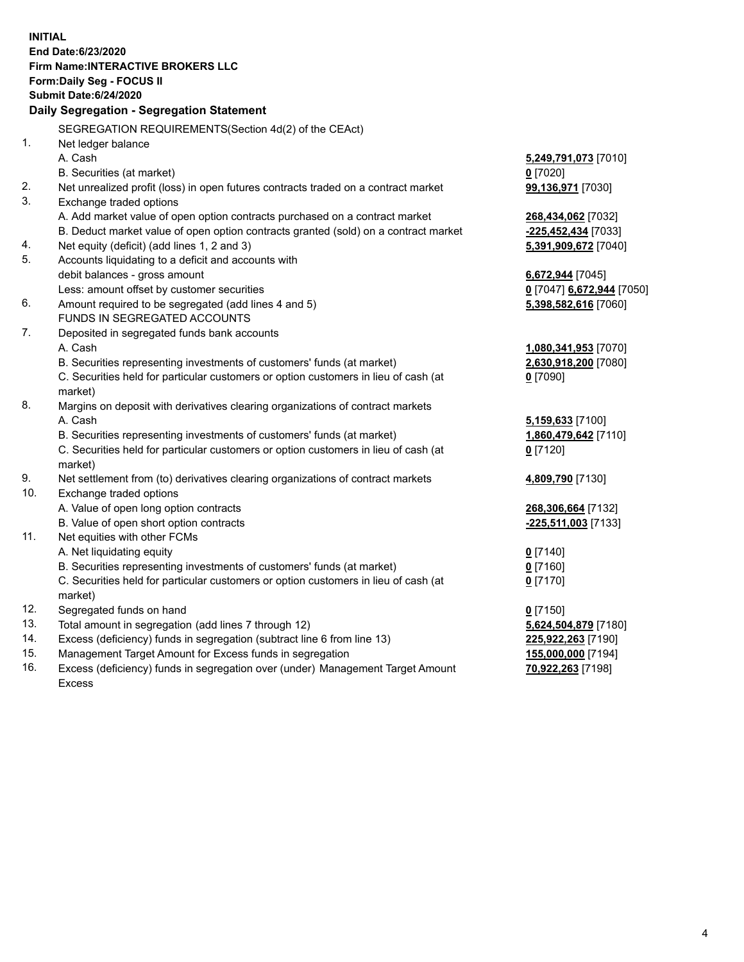**INITIAL End Date:6/23/2020 Firm Name:INTERACTIVE BROKERS LLC Form:Daily Seg - FOCUS II Submit Date:6/24/2020 Daily Segregation - Segregation Statement** SEGREGATION REQUIREMENTS(Section 4d(2) of the CEAct) 1. Net ledger balance A. Cash **5,249,791,073** [7010] B. Securities (at market) **0** [7020] 2. Net unrealized profit (loss) in open futures contracts traded on a contract market **99,136,971** [7030] 3. Exchange traded options A. Add market value of open option contracts purchased on a contract market **268,434,062** [7032] B. Deduct market value of open option contracts granted (sold) on a contract market **-225,452,434** [7033] 4. Net equity (deficit) (add lines 1, 2 and 3) **5,391,909,672** [7040] 5. Accounts liquidating to a deficit and accounts with debit balances - gross amount **6,672,944** [7045] Less: amount offset by customer securities **0** [7047] **6,672,944** [7050] 6. Amount required to be segregated (add lines 4 and 5) **5,398,582,616** [7060] FUNDS IN SEGREGATED ACCOUNTS 7. Deposited in segregated funds bank accounts A. Cash **1,080,341,953** [7070] B. Securities representing investments of customers' funds (at market) **2,630,918,200** [7080] C. Securities held for particular customers or option customers in lieu of cash (at market) **0** [7090] 8. Margins on deposit with derivatives clearing organizations of contract markets A. Cash **5,159,633** [7100] B. Securities representing investments of customers' funds (at market) **1,860,479,642** [7110] C. Securities held for particular customers or option customers in lieu of cash (at market) **0** [7120] 9. Net settlement from (to) derivatives clearing organizations of contract markets **4,809,790** [7130] 10. Exchange traded options A. Value of open long option contracts **268,306,664** [7132] B. Value of open short option contracts **-225,511,003** [7133] 11. Net equities with other FCMs A. Net liquidating equity **0** [7140] B. Securities representing investments of customers' funds (at market) **0** [7160] C. Securities held for particular customers or option customers in lieu of cash (at market) **0** [7170] 12. Segregated funds on hand **0** [7150] 13. Total amount in segregation (add lines 7 through 12) **5,624,504,879** [7180] 14. Excess (deficiency) funds in segregation (subtract line 6 from line 13) **225,922,263** [7190] 15. Management Target Amount for Excess funds in segregation **155,000,000** [7194]

16. Excess (deficiency) funds in segregation over (under) Management Target Amount Excess

**70,922,263** [7198]